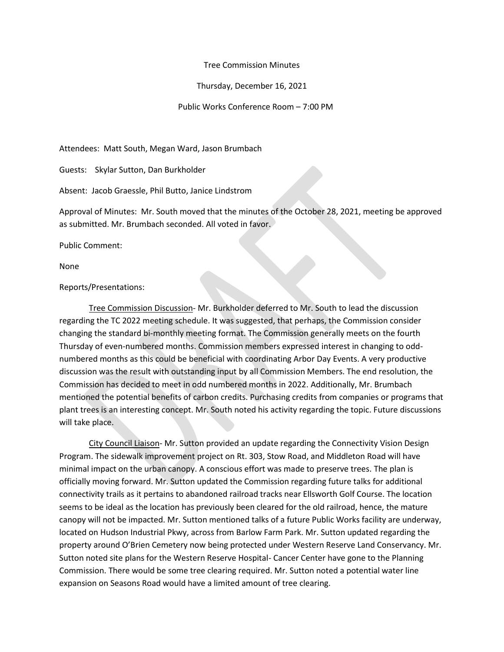## Tree Commission Minutes

Thursday, December 16, 2021

Public Works Conference Room – 7:00 PM

Attendees: Matt South, Megan Ward, Jason Brumbach

Guests: Skylar Sutton, Dan Burkholder

Absent: Jacob Graessle, Phil Butto, Janice Lindstrom

Approval of Minutes: Mr. South moved that the minutes of the October 28, 2021, meeting be approved as submitted. Mr. Brumbach seconded. All voted in favor.

Public Comment:

None

## Reports/Presentations:

Tree Commission Discussion- Mr. Burkholder deferred to Mr. South to lead the discussion regarding the TC 2022 meeting schedule. It was suggested, that perhaps, the Commission consider changing the standard bi-monthly meeting format. The Commission generally meets on the fourth Thursday of even-numbered months. Commission members expressed interest in changing to oddnumbered months as this could be beneficial with coordinating Arbor Day Events. A very productive discussion was the result with outstanding input by all Commission Members. The end resolution, the Commission has decided to meet in odd numbered months in 2022. Additionally, Mr. Brumbach mentioned the potential benefits of carbon credits. Purchasing credits from companies or programs that plant trees is an interesting concept. Mr. South noted his activity regarding the topic. Future discussions will take place.

City Council Liaison- Mr. Sutton provided an update regarding the Connectivity Vision Design Program. The sidewalk improvement project on Rt. 303, Stow Road, and Middleton Road will have minimal impact on the urban canopy. A conscious effort was made to preserve trees. The plan is officially moving forward. Mr. Sutton updated the Commission regarding future talks for additional connectivity trails as it pertains to abandoned railroad tracks near Ellsworth Golf Course. The location seems to be ideal as the location has previously been cleared for the old railroad, hence, the mature canopy will not be impacted. Mr. Sutton mentioned talks of a future Public Works facility are underway, located on Hudson Industrial Pkwy, across from Barlow Farm Park. Mr. Sutton updated regarding the property around O'Brien Cemetery now being protected under Western Reserve Land Conservancy. Mr. Sutton noted site plans for the Western Reserve Hospital- Cancer Center have gone to the Planning Commission. There would be some tree clearing required. Mr. Sutton noted a potential water line expansion on Seasons Road would have a limited amount of tree clearing.